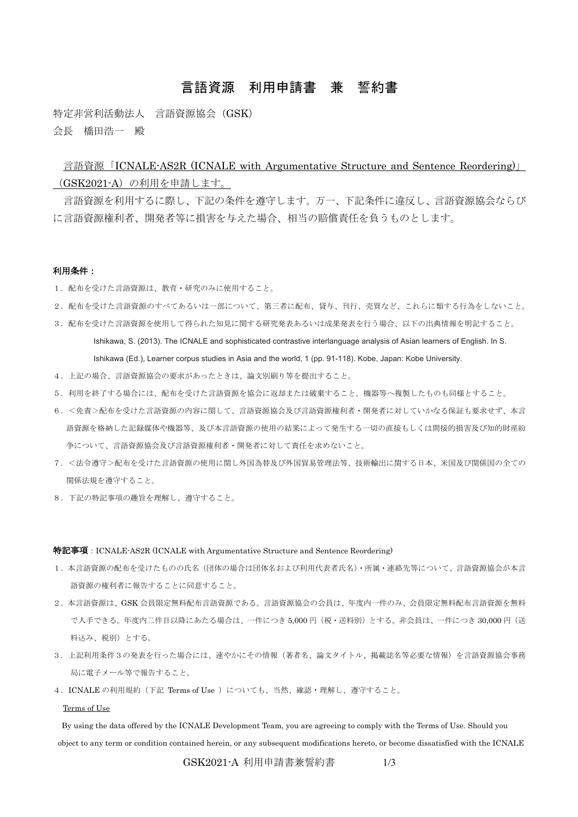# 言語資源 利用申請書 兼 誓約書

特定非営利活動法人 言語資源協会 (GSK) 会長 橋田浩一 殿

言語資源「ICNALE-AS2R (ICNALE with Argumentative Structure and Sentence Reordering)」 (GSK2021-A)の利用を申請します。

言語資源を利用するに際し、下記の条件を遵守します。万一、下記条件に違反し、言語資源協会ならび に言語資源権利者、開発者等に損害を与えた場合、相当の賠償責任を負うものとします。

### 利用条件:

- 1. 配布を受けた言語資源は、教育·研究のみに使用すること。
- 2.配布を受けた言語資源のすべてあるいは一部について、第三者に配布、貸与、刊行、売買など、これらに類する行為をしないこと。
- 3.配布を受けた言語資源を使用して得られた知見に関する研究発表あるいは成果発表を行う場合、以下の出典情報を明記すること。 Ishikawa, S. (2013). The ICNALE and sophisticated contrastive interlanguage analysis of Asian learners of English. In S. Ishikawa (Ed.), Learner corpus studies in Asia and the world, 1 (pp. 91-118). Kobe, Japan: Kobe University.
- 4.上記の場合、言語資源協会の要求があったときは、論文別刷り等を提出すること。
- 5.利用を終了する場合には、配布を受けた言語資源を協会に返却または破棄すること。機器等へ複製したものも同様とすること。
- 6.<免責>配布を受けた言語資源の内容に関して、言語資源協会及び言語資源権利者・開発者に対していかなる保証も要求せず、本言 語資源を格納した記録媒体や機器等、及び本言語資源の使用の結果によって発生する一切の直接もしくは間接的損害及び知的財産紛 争について、言語資源協会及び言語資源権利者・開発者に対して責任を求めないこと。
- 7.<法令遵守>配布を受けた言語資源の使用に関し外国為替及び外国貿易管理法等、技術輸出に関する日本、米国及び関係国の全ての 関係法規を遵守すること。
- 8.下記の特記事項の趣旨を理解し、遵守すること。

#### 特記事項: ICNALE-AS2R (ICNALE with Argumentative Structure and Sentence Reordering)

- 1.本言語資源の配布を受けたものの氏名(団体の場合は団体名および利用代表者氏名)・所属・連絡先等について、言語資源協会が本言 語資源の権利者に報告することに同意すること。
- 2.本言語資源は、GSK 会員限定無料配布言語資源である。言語資源協会の会員は、年度内一件のみ、会員限定無料配布言語資源を無料 で入手できる。年度内二件目以降にあたる場合は、一件につき 5,000 円(税・送料別)とする。非会員は、一件につき 30,000 円(送 料込み、税別)とする。
- 3.上記利用条件3の発表を行った場合には、速やかにその情報(著者名、論文タイトル、掲載誌名等必要な情報)を言語資源協会事務 局に電子メール等で報告すること。
- 4. ICNALE の利用規約 (下記 Terms of Use ) についても、当然、確認・理解し、遵守すること。

#### Terms of Use

By using the data offered by the ICNALE Development Team, you are agreeing to comply with the Terms of Use. Should you object to any term or condition contained herein, or any subsequent modifications hereto, or become dissatisfied with the ICNALE

GSK2021-A 利用申請書兼誓約書 1/3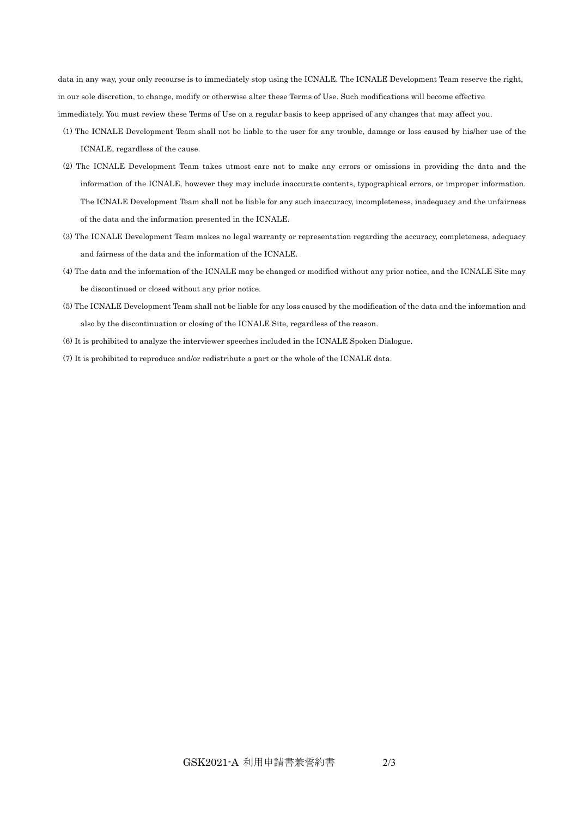data in any way, your only recourse is to immediately stop using the ICNALE. The ICNALE Development Team reserve the right, in our sole discretion, to change, modify or otherwise alter these Terms of Use. Such modifications will become effective immediately. You must review these Terms of Use on a regular basis to keep apprised of any changes that may affect you.

- (1) The ICNALE Development Team shall not be liable to the user for any trouble, damage or loss caused by his/her use of the ICNALE, regardless of the cause.
- (2) The ICNALE Development Team takes utmost care not to make any errors or omissions in providing the data and the information of the ICNALE, however they may include inaccurate contents, typographical errors, or improper information. The ICNALE Development Team shall not be liable for any such inaccuracy, incompleteness, inadequacy and the unfairness of the data and the information presented in the ICNALE.
- (3) The ICNALE Development Team makes no legal warranty or representation regarding the accuracy, completeness, adequacy and fairness of the data and the information of the ICNALE.
- (4) The data and the information of the ICNALE may be changed or modified without any prior notice, and the ICNALE Site may be discontinued or closed without any prior notice.
- (5) The ICNALE Development Team shall not be liable for any loss caused by the modification of the data and the information and also by the discontinuation or closing of the ICNALE Site, regardless of the reason.
- (6) It is prohibited to analyze the interviewer speeches included in the ICNALE Spoken Dialogue.
- (7) It is prohibited to reproduce and/or redistribute a part or the whole of the ICNALE data.